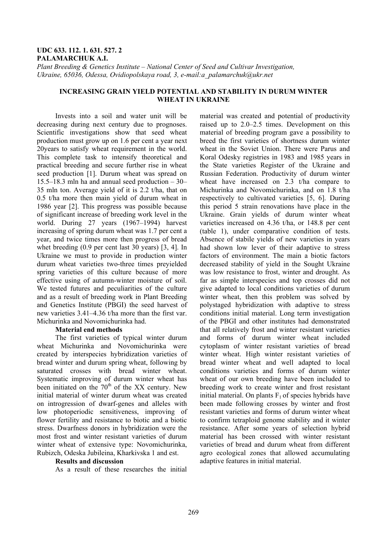### **UDC 633. 112. 1. 631. 527. 2 PALAMARCHUK A.I.**

*Plant Breeding & Genetics Institute – National Center of Seed and Cultivar Investigation, Ukraine, 65036, Odessa, Ovidiopolskaya road, 3, e-mail:a\_palamarchuk@ukr.net* 

## **INCREASING GRAIN YIELD POTENTIAL AND STABILITY IN DURUM WINTER WHEAT IN UKRAINE**

Invests into a soil and water unit will be decreasing during next century due to prognoses. Scientific investigations show that seed wheat production must grow up on 1.6 per cent a year next 20years to satisfy wheat requirement in the world. This complete task to intensify theoretical and practical breeding and secure further rise in wheat seed production [1]. Durum wheat was spread on 15.5–18.3 mln ha and annual seed production – 30– 35 mln ton. Average yield of it is 2.2 t/ha, that on 0.5 t/ha more then main yield of durum wheat in 1986 year [2]. This progress was possible because of significant increase of breeding work level in the world. During 27 years (1967–1994) harvest increasing of spring durum wheat was 1.7 per cent a year, and twice times more then progress of bread whet breeding (0.9 per cent last 30 years) [3, 4]. In Ukraine we must to provide in production winter durum wheat varieties two-three times preyielded spring varieties of this culture because of more effective using of autumn-winter moisture of soil. We tested futures and peculiarities of the culture and as a result of breeding work in Plant Breeding and Genetics Institute (PBGI) the seed harvest of new varieties 3.41–4.36 t/ha more than the first var. Michurinka and Novomichurinka had.

## **Material end methods**

The first varieties of typical winter durum wheat Michurinka and Novomichurinka were created by interspecies hybridization varieties of bread winter and durum spring wheat, following by saturated crosses with bread winter wheat. Systematic improving of durum winter wheat has been initiated on the  $70<sup>th</sup>$  of the XX century. New initial material of winter durum wheat was created on introgression of dwarf-genes and alleles with low photoperiodic sensitiveness, improving of flower fertility and resistance to biotic and a biotic stress. Dwarfness donors in hybridization were the most frost and winter resistant varieties of durum winter wheat of extensive type: Novomichurinka, Rubizch, Odeska Jubileina, Kharkivska 1 and est.

### **Results and discussion**

As a result of these researches the initial

material was created and potential of productivity raised up to 2.0–2.5 times. Development on this material of breeding program gave a possibility to breed the first varieties of shortness durum winter wheat in the Soviet Union. There were Parus and Koral Odesky registries in 1983 and 1985 years in the State varieties Register of the Ukraine and Russian Federation. Productivity of durum winter wheat have increased on 2.3 t/ha compare to Michurinka and Novomichurinka, and on 1.8 t/ha respectively to cultivated varieties [5, 6]. During this period 5 strain renovations have place in the Ukraine. Grain yields of durum winter wheat varieties increased on 4.36 t/ha, or 148.8 per cent (table 1), under comparative condition of tests. Absence of stabile yields of new varieties in years had shown low lever of their adaptive to stress factors of environment. The main a biotic factors decreased stability of yield in the Sought Ukraine was low resistance to frost, winter and drought. As far as simple interspecies and top crosses did not give adapted to local conditions varieties of durum winter wheat, then this problem was solved by polystaged hybridization with adaptive to stress conditions initial material. Long term investigation of the PBGI and other institutes had demonstrated that all relatively frost and winter resistant varieties and forms of durum winter wheat included cytoplasm of winter resistant varieties of bread winter wheat. High winter resistant varieties of bread winter wheat and well adapted to local conditions varieties and forms of durum winter wheat of our own breeding have been included to breeding work to create winter and frost resistant initial material. On plants  $F_1$  of species hybrids have been made following crosses by winter and frost resistant varieties and forms of durum winter wheat to confirm tetraploid genome stability and it winter resistance. After some years of selection hybrid material has been crossed with winter resistant varieties of bread and durum wheat from different agro ecological zones that allowed accumulating adaptive features in initial material.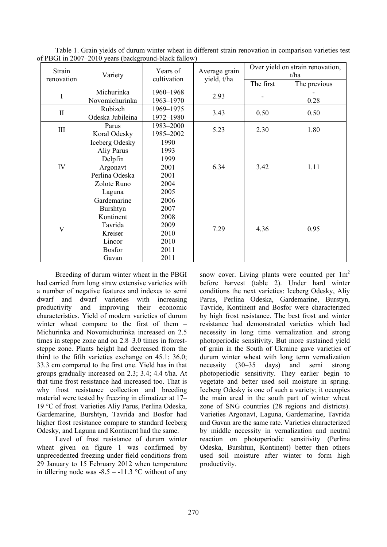| Strain<br>renovation    | $\alpha$ PBGT in 2007–2010 years (background-black failow)<br>Variety | Years of<br>cultivation | Average grain<br>yield, t/ha | Over yield on strain renovation,<br>t/ha |              |  |
|-------------------------|-----------------------------------------------------------------------|-------------------------|------------------------------|------------------------------------------|--------------|--|
|                         |                                                                       |                         |                              | The first                                | The previous |  |
| I                       | Michurinka                                                            | 1960-1968               | 2.93                         |                                          | 0.28         |  |
|                         | Novomichurinka                                                        | 1963–1970               |                              |                                          |              |  |
| $\mathbf{I}$            | Rubizch                                                               | 1969-1975               | 3.43                         | 0.50                                     | 0.50         |  |
|                         | Odeska Jubileina                                                      | 1972-1980               |                              |                                          |              |  |
| III                     | Parus                                                                 | 1983-2000               | 5.23                         | 2.30                                     | 1.80         |  |
|                         | Koral Odesky                                                          | 1985-2002               |                              |                                          |              |  |
| IV                      | Iceberg Odesky                                                        | 1990                    |                              | 3.42                                     |              |  |
|                         | Aliy Parus                                                            | 1993                    |                              |                                          |              |  |
|                         | Delpfin                                                               | 1999                    |                              |                                          | 1.11         |  |
|                         | Argonavt                                                              | 2001                    | 6.34                         |                                          |              |  |
|                         | Perlina Odeska                                                        | 2001                    |                              |                                          |              |  |
|                         | Zolote Runo                                                           | 2004                    |                              |                                          |              |  |
|                         | Laguna                                                                | 2005                    |                              |                                          |              |  |
|                         | Gardemarine                                                           | 2006                    |                              |                                          | 0.95         |  |
|                         | Burshtyn                                                              | 2007                    |                              |                                          |              |  |
| $\overline{\mathsf{V}}$ | Kontinent                                                             | 2008                    |                              |                                          |              |  |
|                         | Tavrida                                                               | 2009                    | 7.29                         | 4.36                                     |              |  |
|                         | Kreiser                                                               | 2010                    |                              |                                          |              |  |
|                         | Lincor                                                                | 2010                    |                              |                                          |              |  |
|                         | <b>Bosfor</b>                                                         | 2011                    |                              |                                          |              |  |
|                         | Gavan                                                                 | 2011                    |                              |                                          |              |  |

Table 1. Grain yields of durum winter wheat in different strain renovation in comparison varieties test of PBGI in 2007–2010 years (background-black fallow)

Breeding of durum winter wheat in the PBGI had carried from long straw extensive varieties with a number of negative features and indexes to semi dwarf and dwarf varieties with increasing productivity and improving their economic characteristics. Yield of modern varieties of durum winter wheat compare to the first of them – Michurinka and Novomichurinka increased on 2.5 times in steppe zone and on 2.8–3.0 times in foreststeppe zone. Plants height had decreased from the third to the fifth varieties exchange on 45.1; 36.0; 33.3 cm compared to the first one. Yield has in that groups gradually increased on 2.3; 3.4; 4.4 t/ha. At that time frost resistance had increased too. That is why frost resistance collection and breeding material were tested by freezing in climatizer at 17– 19 °C of frost. Varieties Aliy Parus, Perlina Odeska, Gardemarine, Burshtyn, Tavrida and Bosfor had higher frost resistance compare to standard Iceberg Odesky, and Laguna and Kontinent had the same.

Level of frost resistance of durum winter wheat given on figure 1 was confirmed by unprecedented freezing under field conditions from 29 January to 15 February 2012 when temperature in tillering node was  $-8.5 - -11.3$  °C without of any

snow cover. Living plants were counted per  $1m<sup>2</sup>$ before harvest (table 2). Under hard winter conditions the next varieties: Iceberg Odesky, Aliy Parus, Perlina Odeska, Gardemarine, Burstyn, Tavride, Kontinent and Bosfor were characterized by high frost resistance. The best frost and winter resistance had demonstrated varieties which had necessity in long time vernalization and strong photoperiodic sensitivity. But more sustained yield of grain in the South of Ukraine gave varieties of durum winter wheat with long term vernalization necessity (30–35 days) and semi strong photoperiodic sensitivity. They earlier begin to vegetate and better used soil moisture in spring. Iceberg Odesky is one of such a variety; it occupies the main areal in the south part of winter wheat zone of SNG countries (28 regions and districts). Varieties Argonavt, Laguna, Gardemarine, Tavrida and Gavan are the same rate. Varieties characterized by middle necessity in vernalization and neutral reaction on photoperiodic sensitivity (Perlina Odeska, Burshtun, Kontinent) better then others used soil moisture after winter to form high productivity.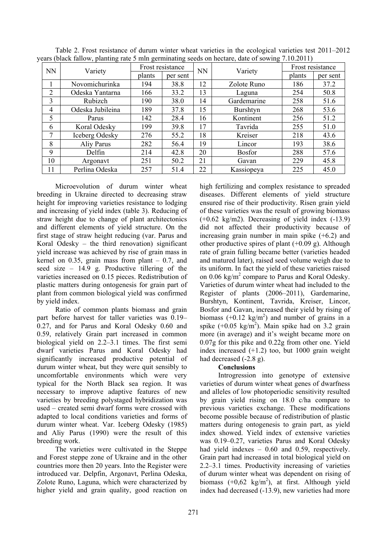| cars (black failum, planting fait $\beta$ min germinating secus on hectare, date of suming 7.10.2011) |                  |                  |          |           |               |                  |          |  |  |
|-------------------------------------------------------------------------------------------------------|------------------|------------------|----------|-----------|---------------|------------------|----------|--|--|
| <b>NN</b>                                                                                             | Variety          | Frost resistance |          | <b>NN</b> | Variety       | Frost resistance |          |  |  |
|                                                                                                       |                  | plants           | per sent |           |               | plants           | per sent |  |  |
|                                                                                                       | Novomichurinka   | 194              | 38.8     | 12        | Zolote Runo   | 186              | 37.2     |  |  |
| 2                                                                                                     | Odeska Yantarna  | 166              | 33.2     | 13        | Laguna        | 254              | 50.8     |  |  |
| 3                                                                                                     | Rubizch          | 190              | 38.0     | 14        | Gardemarine   | 258              | 51.6     |  |  |
| $\overline{4}$                                                                                        | Odeska Jubileina | 189              | 37.8     | 15        | Burshtyn      | 268              | 53.6     |  |  |
| 5                                                                                                     | Parus            | 142              | 28.4     | 16        | Kontinent     | 256              | 51.2     |  |  |
| 6                                                                                                     | Koral Odesky     | 199              | 39.8     | 17        | Tavrida       | 255              | 51.0     |  |  |
| 7                                                                                                     | Iceberg Odesky   | 276              | 55.2     | 18        | Kreiser       | 218              | 43.6     |  |  |
| 8                                                                                                     | Aliy Parus       | 282              | 56.4     | 19        | Lincor        | 193              | 38.6     |  |  |
| 9                                                                                                     | Delfin           | 214              | 42.8     | 20        | <b>Bosfor</b> | 288              | 57.6     |  |  |
| 10                                                                                                    | Argonavt         | 251              | 50.2     | 21        | Gavan         | 229              | 45.8     |  |  |
| 11                                                                                                    | Perlina Odeska   | 257              | 51.4     | 22        | Kassiopeya    | 225              | 45.0     |  |  |

Table 2. Frost resistance of durum winter wheat varieties in the ecological varieties test 2011–2012 years (black fallow, planting rate 5 mln germinating seeds on hectare, date of sowing 7.10.2011)

Microevolution of durum winter wheat breeding in Ukraine directed to decreasing straw height for improving varieties resistance to lodging and increasing of yield index (table 3). Reducing of straw height due to change of plant architectonics and different elements of yield structure. On the first stage of straw height reducing (var. Parus and Koral Odesky – the third renovation) significant yield increase was achieved by rise of grain mass in kernel on  $0.35$ , grain mass from plant  $-0.7$ , and seed size  $-14.9$  g. Productive tillering of the varieties increased on 0.15 pieces. Redistribution of plastic matters during ontogenesis for grain part of plant from common biological yield was confirmed by yield index.

Ratio of common plants biomass and grain part before harvest for taller varieties was 0.19– 0.27, and for Parus and Koral Odesky 0.60 and 0.59, relatively Grain part increased in common biological yield on 2.2–3.1 times. The first semi dwarf varieties Parus and Koral Odesky had significantly increased productive potential of durum winter wheat, but they were quit sensibly to uncomfortable environments which were very typical for the North Black sea region. It was necessary to improve adaptive features of new varieties by breeding polystaged hybridization was used – created semi dwarf forms were crossed with adapted to local conditions varieties and forms of durum winter wheat. Var. Iceberg Odesky (1985) and Aliy Parus (1990) were the result of this breeding work.

The varieties were cultivated in the Steppe and Forest steppe zone of Ukraine and in the other countries more then 20 years. Into the Register were introduced var. Delpfin, Argonavt, Perlina Odeska, Zolote Runo, Laguna, which were characterized by higher yield and grain quality, good reaction on high fertilizing and complex resistance to spreaded diseases. Different elements of yield structure ensured rise of their productivity. Risen grain yield of these varieties was the result of growing biomass (+0.62 kg/m2). Decreasing of yield index (-13.9) did not affected their productivity because of increasing grain number in main spike (+6.2) and other productive spires of plant  $(+0.09 \text{ g})$ . Although rate of grain fulling became better (varieties headed and matured later), raised seed volume weigh due to its uniform. In fact the yield of these varieties raised on 0.06 kg/m<sup>2</sup> compare to Parus and Koral Odesky. Varieties of durum winter wheat had included to the Register of plants (2006–2011), Gardemarine, Burshtyn, Kontinent, Tavrida, Kreiser, Lincor, Bosfor and Gavan, increased their yield by rising of biomass  $(+0.12 \text{ kg/m}^2)$  and number of grains in a spike  $(+0.05 \text{ kg/m}^2)$ . Main spike had on 3.2 grain more (in average) and it's weight became more on 0.07g for this pike and 0.22g from other one. Yield index increased (+1.2) too, but 1000 grain weight had decreased  $(-2.8 \text{ g})$ .

# **Conclusions**

Introgression into genotype of extensive varieties of durum winter wheat genes of dwarfness and alleles of low photoperiodic sensitivity resulted by grain yield rising on 18.0 c/ha compare to previous varieties exchange. These modifications become possible because of redistribution of plastic matters during ontogenesis to grain part, as yield index showed. Yield index of extensive varieties was 0.19–0.27, varieties Parus and Koral Odesky had yield indexes – 0.60 and 0.59, respectively. Grain part had increased in total biological yield on 2.2–3.1 times. Productivity increasing of varieties of durum winter wheat was dependent on rising of biomass  $(+0.62 \text{ kg/m}^2)$ , at first. Although yield index had decreased (-13.9), new varieties had more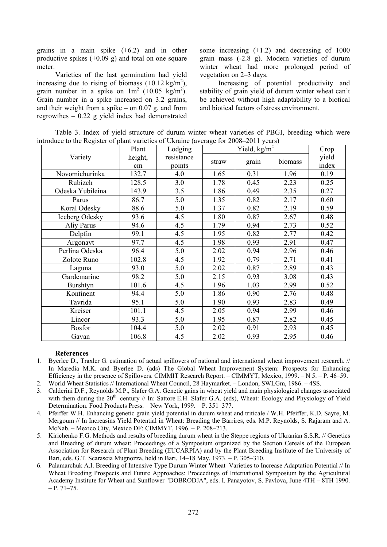grains in a main spike (+6.2) and in other productive spikes (+0.09 g) and total on one square meter.

Varieties of the last germination had yield increasing due to rising of biomass  $(+0.12 \text{ kg/m}^2)$ , grain number in a spike on  $1m^2$  (+0.05 kg/m<sup>2</sup>). Grain number in a spike increased on 3.2 grains, and their weight from a spike – on  $0.07$  g, and from regrowthes – 0.22 g yield index had demonstrated

some increasing (+1.2) and decreasing of 1000 grain mass (-2.8 g). Modern varieties of durum winter wheat had more prolonged period of vegetation on 2–3 days.

Increasing of potential productivity and stability of grain yield of durum winter wheat can't be achieved without high adaptability to a biotical and biotical factors of stress environment.

Table 3. Index of yield structure of durum winter wheat varieties of PBGI, breeding which were introduce to the Register of plant varieties of Ukraine (average for 2008–2011 years)

|                  | Plant   | Lodging    | $\frac{\text{min}(\text{average to 2008 } 2011 \text{ years})}{\text{Yield}, \text{kg/m}^2}$ |       |         | Crop  |
|------------------|---------|------------|----------------------------------------------------------------------------------------------|-------|---------|-------|
| Variety          | height, | resistance | straw                                                                                        | grain | biomass | yield |
|                  | cm      | points     |                                                                                              |       |         | index |
| Novomichurinka   | 132.7   | 4.0        | 1.65                                                                                         | 0.31  | 1.96    | 0.19  |
| Rubizch          | 128.5   | 3.0        | 1.78                                                                                         | 0.45  | 2.23    | 0.25  |
| Odeska Yubileina | 143.9   | 3.5        | 1.86                                                                                         | 0.49  | 2.35    | 0.27  |
| Parus            | 86.7    | 5.0        | 1.35                                                                                         | 0.82  | 2.17    | 0.60  |
| Koral Odesky     | 88.6    | 5.0        | 1.37                                                                                         | 0.82  | 2.19    | 0.59  |
| Iceberg Odesky   | 93.6    | 4.5        | 1.80                                                                                         | 0.87  | 2.67    | 0.48  |
| Aliy Parus       | 94.6    | 4.5        | 1.79                                                                                         | 0.94  | 2.73    | 0.52  |
| Delpfin          | 99.1    | 4.5        | 1.95                                                                                         | 0.82  | 2.77    | 0.42  |
| Argonavt         | 97.7    | 4.5        | 1.98                                                                                         | 0.93  | 2.91    | 0.47  |
| Perlina Odeska   | 96.4    | 5.0        | 2.02                                                                                         | 0.94  | 2.96    | 0.46  |
| Zolote Runo      | 102.8   | 4.5        | 1.92                                                                                         | 0.79  | 2.71    | 0.41  |
| Laguna           | 93.0    | 5.0        | 2.02                                                                                         | 0.87  | 2.89    | 0.43  |
| Gardemarine      | 98.2    | 5.0        | 2.15                                                                                         | 0.93  | 3.08    | 0.43  |
| <b>Burshtyn</b>  | 101.6   | 4.5        | 1.96                                                                                         | 1.03  | 2.99    | 0.52  |
| Kontinent        | 94.4    | 5.0        | 1.86                                                                                         | 0.90  | 2.76    | 0.48  |
| Tavrida          | 95.1    | 5.0        | 1.90                                                                                         | 0.93  | 2.83    | 0.49  |
| Kreiser          | 101.1   | 4.5        | 2.05                                                                                         | 0.94  | 2.99    | 0.46  |
| Lincor           | 93.3    | 5.0        | 1.95                                                                                         | 0.87  | 2.82    | 0.45  |
| <b>Bosfor</b>    | 104.4   | 5.0        | 2.02                                                                                         | 0.91  | 2.93    | 0.45  |
| Gavan            | 106.8   | 4.5        | 2.02                                                                                         | 0.93  | 2.95    | 0.46  |

### **References**

- 1. Byerlee D., Traxler G. estimation of actual spillovers of national and international wheat improvement research. // In Maredia M.K. and Byerlee D. (ads) The Global Wheat Improvement System: Prospects for Enhancing Efficiency in the presence of Spillovers. CIMMIT Research Report. – CIMMYT, Mexico, 1999. – N 5. – P. 46–59.
- 2. World Wheat Statistics // International Wheat Council, 28 Haymarket. London, SWLGm, 1986. 4SS.
- 3. Calderini D.F., Reynolds M.P., Slafer G.A. Genetic gains in wheat yield and main physiological changes associated with them during the  $20<sup>th</sup>$  century // In: Sattore E.H. Slafer G.A. (eds), Wheat: Ecology and Physiology of Yield Determination. Food Products Press. – New York, 1999. – P. 351–377.
- 4. Pfeiffer W.H. Enhancing genetic grain yield potential in durum wheat and triticale / W.H. Pfeiffer, K.D. Sayre, M. Mergoum // In Increasins Yield Potential in Wheat: Breading the Barrires, eds. M.P. Reynolds, S. Rajaram and A. McNab. – Mexico City, Mexico DF: CIMMYT, 1996. – P. 208–213.
- 5. Kirichenko F.G. Methods and results of breeding durum wheat in the Steppe regions of Ukranian S.S.R. // Genetics and Breeding of durum wheat: Proceedings of a Symposium organized by the Section Cereals of the European Association for Research of Plant Breeding (EUCARPIA) and by the Plant Breeding Institute of the University of Bari, eds. G.T. Scarascia Mugnozza, held in Bari, 14–18 May, 1973. – P. 305–310.
- 6. Palamarchuk A.I. Breeding of Intensive Type Durum Winter Wheat Varieties to Increase Adaptation Potential // In Wheat Breeding Prospects and Future Approaches: Proceedings of International Symposium by the Agricultural Academy Institute for Wheat and Sunflower "DOBRODJА", eds. I. Panayotov, S. Pavlova, June 4TH – 8TH 1990.  $- P. 71 - 75.$